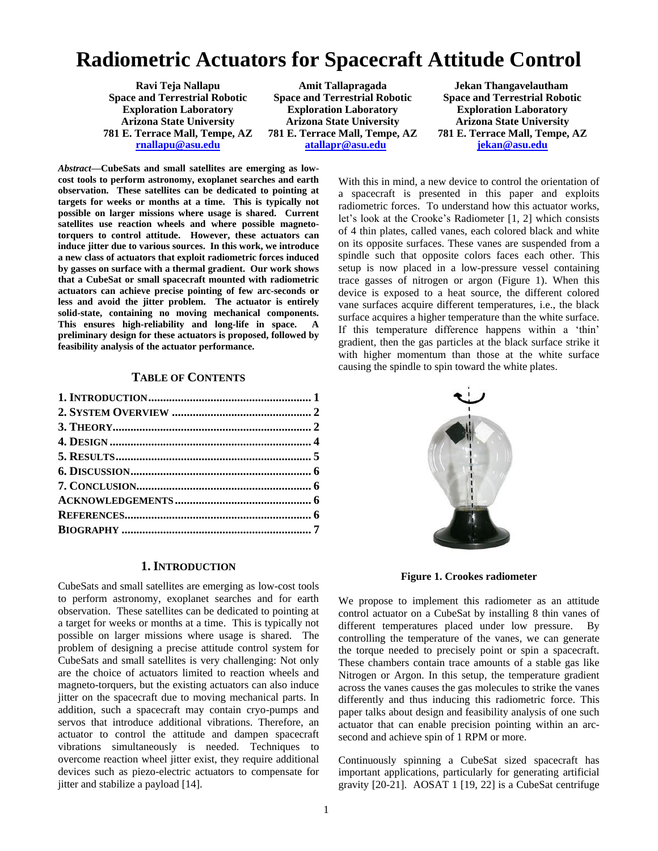# **Radiometric Actuators for Spacecraft Attitude Control**

**Ravi Teja Nallapu Space and Terrestrial Robotic Exploration Laboratory Arizona State University 781 E. Terrace Mall, Tempe, AZ [rnallapu@asu.edu](mailto:rnallapu@asu.edu)**

**Amit Tallapragada Space and Terrestrial Robotic Exploration Laboratory Arizona State University 781 E. Terrace Mall, Tempe, AZ [atallapr@asu.edu](mailto:atallapr@asu.edu)**

**Jekan Thangavelautham Space and Terrestrial Robotic Exploration Laboratory Arizona State University 781 E. Terrace Mall, Tempe, AZ [jekan@asu.edu](mailto:jekan@asu.edu)**

*Abstract***—CubeSats and small satellites are emerging as lowcost tools to perform astronomy, exoplanet searches and earth observation. These satellites can be dedicated to pointing at targets for weeks or months at a time. This is typically not possible on larger missions where usage is shared. Current satellites use reaction wheels and where possible magnetotorquers to control attitude. However, these actuators can induce jitter due to various sources. In this work, we introduce a new class of actuators that exploit radiometric forces induced by gasses on surface with a thermal gradient. Our work shows that a CubeSat or small spacecraft mounted with radiometric actuators can achieve precise pointing of few arc-seconds or less and avoid the jitter problem. The actuator is entirely solid-state, containing no moving mechanical components. This ensures high-reliability and long-life in space. A preliminary design for these actuators is proposed, followed by feasibility analysis of the actuator performance.**

#### **TABLE OF CONTENTS**

## **1. INTRODUCTION**

<span id="page-0-0"></span>CubeSats and small satellites are emerging as low-cost tools to perform astronomy, exoplanet searches and for earth observation. These satellites can be dedicated to pointing at a target for weeks or months at a time. This is typically not possible on larger missions where usage is shared. The problem of designing a precise attitude control system for CubeSats and small satellites is very challenging: Not only are the choice of actuators limited to reaction wheels and magneto-torquers, but the existing actuators can also induce jitter on the spacecraft due to moving mechanical parts. In addition, such a spacecraft may contain cryo-pumps and servos that introduce additional vibrations. Therefore, an actuator to control the attitude and dampen spacecraft vibrations simultaneously is needed. Techniques to overcome reaction wheel jitter exist, they require additional devices such as piezo-electric actuators to compensate for jitter and stabilize a payload [14].

With this in mind, a new device to control the orientation of a spacecraft is presented in this paper and exploits radiometric forces. To understand how this actuator works, let's look at the Crooke's Radiometer [1, 2] which consists of 4 thin plates, called vanes, each colored black and white on its opposite surfaces. These vanes are suspended from a spindle such that opposite colors faces each other. This setup is now placed in a low-pressure vessel containing trace gasses of nitrogen or argon (Figure 1). When this device is exposed to a heat source, the different colored vane surfaces acquire different temperatures, i.e., the black surface acquires a higher temperature than the white surface. If this temperature difference happens within a 'thin' gradient, then the gas particles at the black surface strike it with higher momentum than those at the white surface causing the spindle to spin toward the white plates.



**Figure 1. Crookes radiometer**

We propose to implement this radiometer as an attitude control actuator on a CubeSat by installing 8 thin vanes of different temperatures placed under low pressure. By controlling the temperature of the vanes, we can generate the torque needed to precisely point or spin a spacecraft. These chambers contain trace amounts of a stable gas like Nitrogen or Argon. In this setup, the temperature gradient across the vanes causes the gas molecules to strike the vanes differently and thus inducing this radiometric force. This paper talks about design and feasibility analysis of one such actuator that can enable precision pointing within an arcsecond and achieve spin of 1 RPM or more.

Continuously spinning a CubeSat sized spacecraft has important applications, particularly for generating artificial gravity [20-21]. AOSAT 1 [19, 22] is a CubeSat centrifuge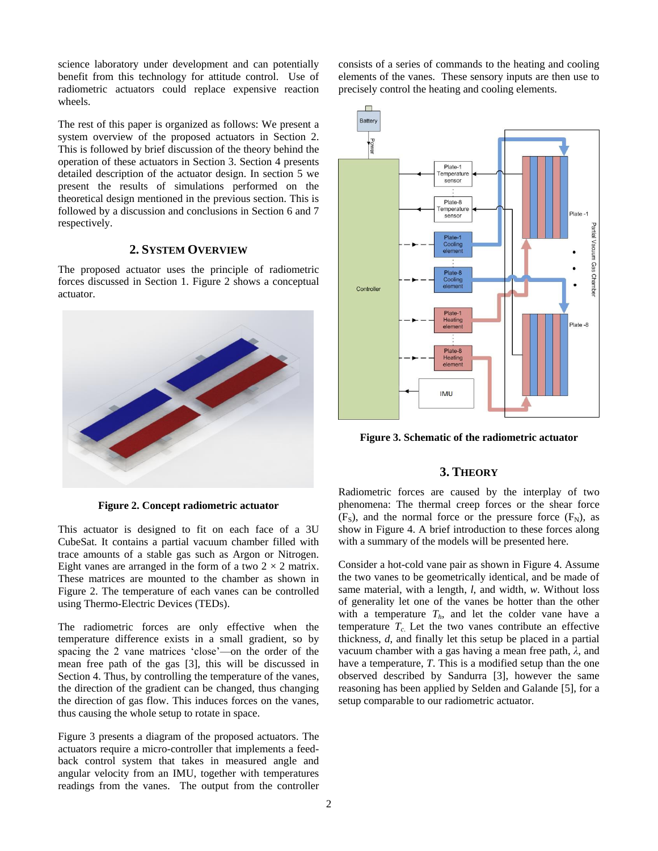science laboratory under development and can potentially benefit from this technology for attitude control. Use of radiometric actuators could replace expensive reaction wheels.

The rest of this paper is organized as follows: We present a system overview of the proposed actuators in Section 2. This is followed by brief discussion of the theory behind the operation of these actuators in Section 3. Section 4 presents detailed description of the actuator design. In section 5 we present the results of simulations performed on the theoretical design mentioned in the previous section. This is followed by a discussion and conclusions in Section 6 and 7 respectively.

## **2. SYSTEM OVERVIEW**

<span id="page-1-0"></span>The proposed actuator uses the principle of radiometric forces discussed in Section 1. Figure 2 shows a conceptual actuator.



**Figure 2. Concept radiometric actuator**

This actuator is designed to fit on each face of a 3U CubeSat. It contains a partial vacuum chamber filled with trace amounts of a stable gas such as Argon or Nitrogen. Eight vanes are arranged in the form of a two  $2 \times 2$  matrix. These matrices are mounted to the chamber as shown in Figure 2. The temperature of each vanes can be controlled using Thermo-Electric Devices (TEDs).

The radiometric forces are only effective when the temperature difference exists in a small gradient, so by spacing the 2 vane matrices 'close'—on the order of the mean free path of the gas [3], this will be discussed in Section 4. Thus, by controlling the temperature of the vanes, the direction of the gradient can be changed, thus changing the direction of gas flow. This induces forces on the vanes, thus causing the whole setup to rotate in space.

Figure 3 presents a diagram of the proposed actuators. The actuators require a micro-controller that implements a feedback control system that takes in measured angle and angular velocity from an IMU, together with temperatures readings from the vanes. The output from the controller consists of a series of commands to the heating and cooling elements of the vanes. These sensory inputs are then use to precisely control the heating and cooling elements.



**Figure 3. Schematic of the radiometric actuator**

# **3. THEORY**

<span id="page-1-1"></span>Radiometric forces are caused by the interplay of two phenomena: The thermal creep forces or the shear force  $(F<sub>S</sub>)$ , and the normal force or the pressure force  $(F<sub>N</sub>)$ , as show in Figure 4. A brief introduction to these forces along with a summary of the models will be presented here.

Consider a hot-cold vane pair as shown in Figure 4. Assume the two vanes to be geometrically identical, and be made of same material, with a length, *l*, and width, *w*. Without loss of generality let one of the vanes be hotter than the other with a temperature  $T_h$ , and let the colder vane have a temperature  $T_c$ . Let the two vanes contribute an effective thickness, *d*, and finally let this setup be placed in a partial vacuum chamber with a gas having a mean free path, *λ*, and have a temperature, *T*. This is a modified setup than the one observed described by Sandurra [3], however the same reasoning has been applied by Selden and Galande [5], for a setup comparable to our radiometric actuator.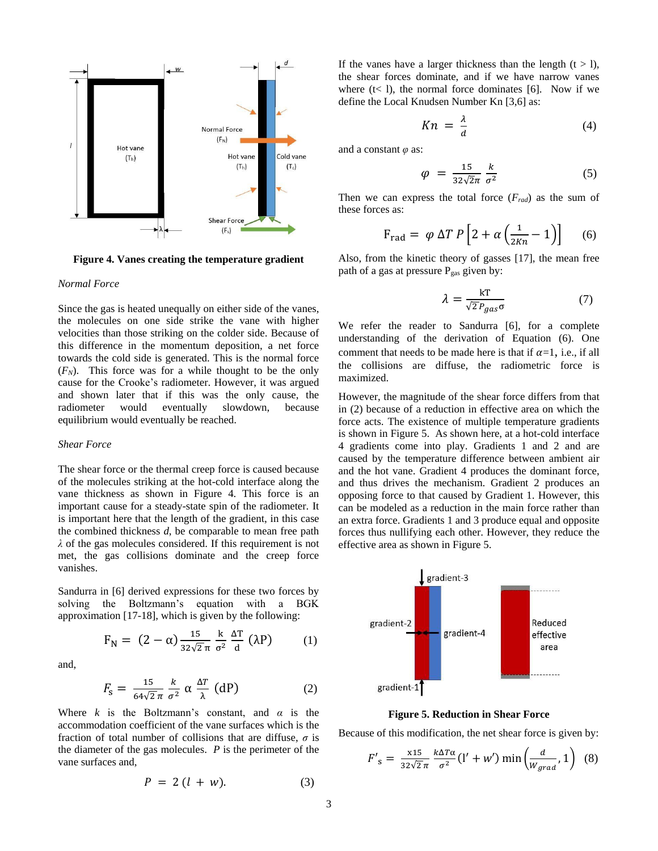

**Figure 4. Vanes creating the temperature gradient**

#### *Normal Force*

Since the gas is heated unequally on either side of the vanes, the molecules on one side strike the vane with higher velocities than those striking on the colder side. Because of this difference in the momentum deposition, a net force towards the cold side is generated. This is the normal force  $(F_N)$ . This force was for a while thought to be the only cause for the Crooke's radiometer. However, it was argued and shown later that if this was the only cause, the radiometer would eventually slowdown, because equilibrium would eventually be reached.

#### *Shear Force*

The shear force or the thermal creep force is caused because of the molecules striking at the hot-cold interface along the vane thickness as shown in Figure 4. This force is an important cause for a steady-state spin of the radiometer. It is important here that the length of the gradient, in this case the combined thickness *d*, be comparable to mean free path *λ* of the gas molecules considered. If this requirement is not met, the gas collisions dominate and the creep force vanishes.

Sandurra in [6] derived expressions for these two forces by solving the Boltzmann's equation with a BGK approximation [17-18], which is given by the following:

$$
F_N = (2 - \alpha) \frac{15}{32\sqrt{2}\pi} \frac{k}{\sigma^2} \frac{\Delta T}{d} (\lambda P) \qquad (1)
$$

and,

$$
F_{\rm s} = \frac{15}{64\sqrt{2}\pi} \frac{k}{\sigma^2} \alpha \frac{\Delta T}{\lambda} \text{ (dP)} \tag{2}
$$

Where *k* is the Boltzmann's constant, and  $\alpha$  is the accommodation coefficient of the vane surfaces which is the fraction of total number of collisions that are diffuse, *σ* is the diameter of the gas molecules. *P* is the perimeter of the vane surfaces and,

$$
P = 2(l + w). \tag{3}
$$

If the vanes have a larger thickness than the length  $(t > 1)$ , the shear forces dominate, and if we have narrow vanes where  $(t < 1)$ , the normal force dominates [6]. Now if we define the Local Knudsen Number Kn [3,6] as:

$$
Kn = \frac{\lambda}{d} \tag{4}
$$

and a constant *φ* as:

$$
\varphi = \frac{15}{32\sqrt{2}\pi} \frac{k}{\sigma^2} \tag{5}
$$

Then we can express the total force  $(F_{rad})$  as the sum of these forces as:

$$
F_{\rm rad} = \varphi \Delta T \, P \left[ 2 + \alpha \left( \frac{1}{2Kn} - 1 \right) \right] \tag{6}
$$

Also, from the kinetic theory of gasses [17], the mean free path of a gas at pressure  $P_{gas}$  given by:

$$
\lambda = \frac{kT}{\sqrt{2} P_{gas} \sigma} \tag{7}
$$

We refer the reader to Sandurra [6], for a complete understanding of the derivation of Equation (6). One comment that needs to be made here is that if  $\alpha=1$ , i.e., if all the collisions are diffuse, the radiometric force is maximized.

However, the magnitude of the shear force differs from that in (2) because of a reduction in effective area on which the force acts. The existence of multiple temperature gradients is shown in Figure 5. As shown here, at a hot-cold interface 4 gradients come into play. Gradients 1 and 2 and are caused by the temperature difference between ambient air and the hot vane. Gradient 4 produces the dominant force, and thus drives the mechanism. Gradient 2 produces an opposing force to that caused by Gradient 1. However, this can be modeled as a reduction in the main force rather than an extra force. Gradients 1 and 3 produce equal and opposite forces thus nullifying each other. However, they reduce the effective area as shown in Figure 5.



**Figure 5. Reduction in Shear Force**

Because of this modification, the net shear force is given by:

$$
F'_{s} = \frac{x^{15}}{32\sqrt{2}\pi} \frac{k\Delta T\alpha}{\sigma^2} (l' + w') \min\left(\frac{d}{W_{grad}}, 1\right) (8)
$$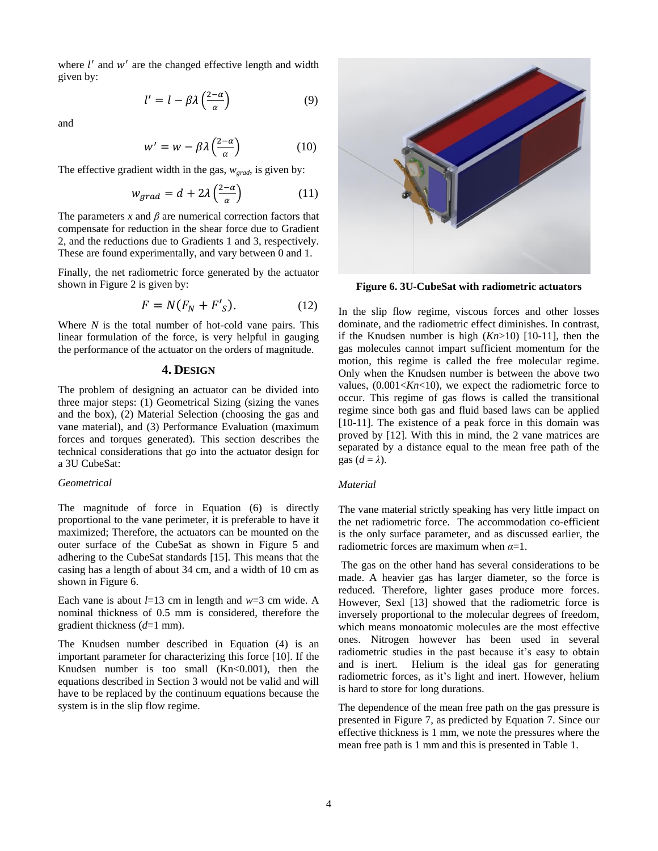where  $l'$  and  $w'$  are the changed effective length and width given by:

$$
l' = l - \beta \lambda \left(\frac{2-\alpha}{\alpha}\right) \tag{9}
$$

and

$$
w' = w - \beta \lambda \left(\frac{2-\alpha}{\alpha}\right) \tag{10}
$$

The effective gradient width in the gas, *wgrad*, is given by:

$$
w_{grad} = d + 2\lambda \left(\frac{2-\alpha}{\alpha}\right) \tag{11}
$$

The parameters  $x$  and  $\beta$  are numerical correction factors that compensate for reduction in the shear force due to Gradient 2, and the reductions due to Gradients 1 and 3, respectively. These are found experimentally, and vary between 0 and 1.

Finally, the net radiometric force generated by the actuator shown in Figure 2 is given by:

$$
F = N(F_N + F'_S). \tag{12}
$$

Where *N* is the total number of hot-cold vane pairs. This linear formulation of the force, is very helpful in gauging the performance of the actuator on the orders of magnitude.

#### **4. DESIGN**

<span id="page-3-0"></span>The problem of designing an actuator can be divided into three major steps: (1) Geometrical Sizing (sizing the vanes and the box), (2) Material Selection (choosing the gas and vane material), and (3) Performance Evaluation (maximum forces and torques generated). This section describes the technical considerations that go into the actuator design for a 3U CubeSat:

#### *Geometrical*

The magnitude of force in Equation (6) is directly proportional to the vane perimeter, it is preferable to have it maximized; Therefore, the actuators can be mounted on the outer surface of the CubeSat as shown in Figure 5 and adhering to the CubeSat standards [15]. This means that the casing has a length of about 34 cm, and a width of 10 cm as shown in Figure 6.

Each vane is about *l*=13 cm in length and *w*=3 cm wide. A nominal thickness of 0.5 mm is considered, therefore the gradient thickness (*d*=1 mm).

The Knudsen number described in Equation (4) is an important parameter for characterizing this force [10]. If the Knudsen number is too small  $(Kn<0.001)$ , then the equations described in Section 3 would not be valid and will have to be replaced by the continuum equations because the system is in the slip flow regime.



**Figure 6. 3U-CubeSat with radiometric actuators**

In the slip flow regime, viscous forces and other losses dominate, and the radiometric effect diminishes. In contrast, if the Knudsen number is high (*Kn*>10) [10-11], then the gas molecules cannot impart sufficient momentum for the motion, this regime is called the free molecular regime. Only when the Knudsen number is between the above two values,  $(0.001 < Kn < 10)$ , we expect the radiometric force to occur. This regime of gas flows is called the transitional regime since both gas and fluid based laws can be applied [10-11]. The existence of a peak force in this domain was proved by [12]. With this in mind, the 2 vane matrices are separated by a distance equal to the mean free path of the gas  $(d = \lambda)$ .

#### *Material*

The vane material strictly speaking has very little impact on the net radiometric force. The accommodation co-efficient is the only surface parameter, and as discussed earlier, the radiometric forces are maximum when *α*=1.

The gas on the other hand has several considerations to be made. A heavier gas has larger diameter, so the force is reduced. Therefore, lighter gases produce more forces. However, Sexl [13] showed that the radiometric force is inversely proportional to the molecular degrees of freedom, which means monoatomic molecules are the most effective ones. Nitrogen however has been used in several radiometric studies in the past because it's easy to obtain and is inert. Helium is the ideal gas for generating radiometric forces, as it's light and inert. However, helium is hard to store for long durations.

The dependence of the mean free path on the gas pressure is presented in Figure 7, as predicted by Equation 7. Since our effective thickness is 1 mm, we note the pressures where the mean free path is 1 mm and this is presented in Table 1.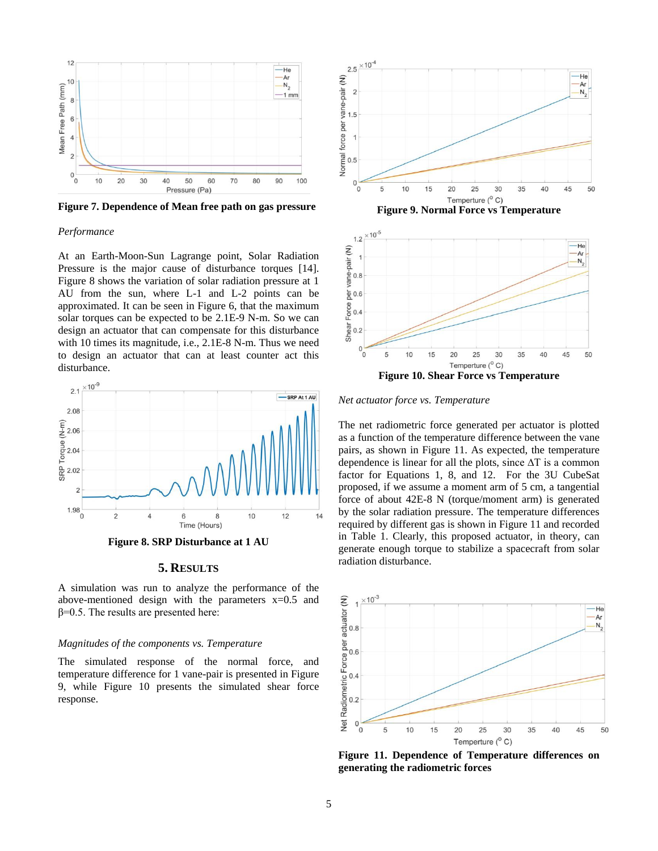

**Figure 7. Dependence of Mean free path on gas pressure**

#### *Performance*

At an Earth-Moon-Sun Lagrange point, Solar Radiation Pressure is the major cause of disturbance torques [14]. Figure 8 shows the variation of solar radiation pressure at 1 AU from the sun, where L-1 and L-2 points can be approximated. It can be seen in Figure 6, that the maximum solar torques can be expected to be 2.1E-9 N-m. So we can design an actuator that can compensate for this disturbance with 10 times its magnitude, i.e., 2.1E-8 N-m. Thus we need to design an actuator that can at least counter act this disturbance.



**Figure 8. SRP Disturbance at 1 AU**

# **5. RESULTS**

A simulation was run to analyze the performance of the above-mentioned design with the parameters  $x=0.5$  and  $β=0.5$ . The results are presented here:

#### *Magnitudes of the components vs. Temperature*

The simulated response of the normal force, and temperature difference for 1 vane-pair is presented in Figure 9, while Figure 10 presents the simulated shear force response.





*Net actuator force vs. Temperature*

The net radiometric force generated per actuator is plotted as a function of the temperature difference between the vane pairs, as shown in Figure 11. As expected, the temperature dependence is linear for all the plots, since ∆T is a common factor for Equations 1, 8, and 12.For the 3U CubeSat proposed, if we assume a moment arm of 5 cm, a tangential force of about 42E-8 N (torque/moment arm) is generated by the solar radiation pressure. The temperature differences required by different gas is shown in Figure 11 and recorded in Table 1. Clearly, this proposed actuator, in theory, can generate enough torque to stabilize a spacecraft from solar radiation disturbance.



**Figure 11. Dependence of Temperature differences on generating the radiometric forces**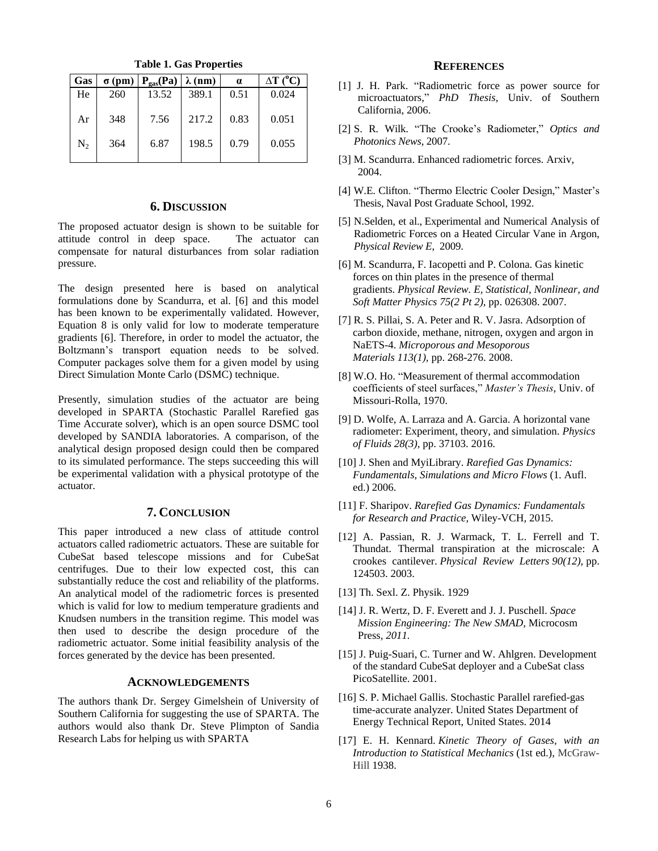| <b>Gas</b> | $\sigma$ (pm) | $P_{gas}(Pa)$ | $\lambda$ (nm) | $\alpha$ | $\Delta T$ (°C) |
|------------|---------------|---------------|----------------|----------|-----------------|
| He         | 260           | 13.52         | 389.1          | 0.51     | 0.024           |
| Ar         | 348           | 7.56          | 217.2          | 0.83     | 0.051           |
| $N_2$      | 364           | 6.87          | 198.5          | 0.79     | 0.055           |

**Table 1. Gas Properties**

# **6. DISCUSSION**

<span id="page-5-0"></span>The proposed actuator design is shown to be suitable for attitude control in deep space. The actuator can compensate for natural disturbances from solar radiation pressure.

The design presented here is based on analytical formulations done by Scandurra, et al. [6] and this model has been known to be experimentally validated. However, Equation 8 is only valid for low to moderate temperature gradients [6]. Therefore, in order to model the actuator, the Boltzmann's transport equation needs to be solved. Computer packages solve them for a given model by using Direct Simulation Monte Carlo (DSMC) technique.

Presently, simulation studies of the actuator are being developed in SPARTA (Stochastic Parallel Rarefied gas Time Accurate solver), which is an open source DSMC tool developed by SANDIA laboratories. A comparison, of the analytical design proposed design could then be compared to its simulated performance. The steps succeeding this will be experimental validation with a physical prototype of the actuator.

#### **7. CONCLUSION**

<span id="page-5-1"></span>This paper introduced a new class of attitude control actuators called radiometric actuators. These are suitable for CubeSat based telescope missions and for CubeSat centrifuges. Due to their low expected cost, this can substantially reduce the cost and reliability of the platforms. An analytical model of the radiometric forces is presented which is valid for low to medium temperature gradients and Knudsen numbers in the transition regime. This model was then used to describe the design procedure of the radiometric actuator. Some initial feasibility analysis of the forces generated by the device has been presented.

## **ACKNOWLEDGEMENTS**

<span id="page-5-2"></span>The authors thank Dr. Sergey Gimelshein of University of Southern California for suggesting the use of SPARTA. The authors would also thank Dr. Steve Plimpton of Sandia Research Labs for helping us with SPARTA

#### **REFERENCES**

- <span id="page-5-3"></span>[1] J. H. Park. "Radiometric force as power source for microactuators," *PhD Thesis*, Univ. of Southern California, 2006.
- [2] S. R. Wilk. "The Crooke's Radiometer," *Optics and Photonics News*, 2007.
- [3] M. Scandurra. Enhanced radiometric forces. Arxiv, 2004.
- [4] W.E. Clifton. "Thermo Electric Cooler Design," Master's Thesis, Naval Post Graduate School, 1992.
- [5] N.Selden, et al., Experimental and Numerical Analysis of Radiometric Forces on a Heated Circular Vane in Argon, *Physical Review E*, 2009.
- [6] M. Scandurra, F. Iacopetti and P. Colona. Gas kinetic forces on thin plates in the presence of thermal gradients. *Physical Review. E, Statistical, Nonlinear, and Soft Matter Physics 75(2 Pt 2),* pp. 026308. 2007.
- [7] R. S. Pillai, S. A. Peter and R. V. Jasra. Adsorption of carbon dioxide, methane, nitrogen, oxygen and argon in NaETS-4. *Microporous and Mesoporous Materials 113(1),* pp. 268-276. 2008.
- [8] W.O. Ho. "Measurement of thermal accommodation coefficients of steel surfaces," *Master's Thesis*, Univ. of Missouri-Rolla, 1970.
- [9] D. Wolfe, A. Larraza and A. Garcia. A horizontal vane radiometer: Experiment, theory, and simulation. *Physics of Fluids 28(3),* pp. 37103. 2016.
- [10] J. Shen and MyiLibrary. *Rarefied Gas Dynamics: Fundamentals, Simulations and Micro Flows* (1. Aufl. ed.) 2006.
- [11] F. Sharipov. *Rarefied Gas Dynamics: Fundamentals for Research and Practice,* Wiley-VCH*,* 2015.
- [12] A. Passian, R. J. Warmack, T. L. Ferrell and T. Thundat. Thermal transpiration at the microscale: A crookes cantilever. *Physical Review Letters 90(12),* pp. 124503. 2003.
- [13] Th. Sexl. Z. Physik. 1929
- [14] J. R. Wertz, D. F. Everett and J. J. Puschell. *Space Mission Engineering: The New SMAD,* Microcosm Press*, 2011.*
- [15] J. Puig-Suari, C. Turner and W. Ahlgren. Development of the standard CubeSat deployer and a CubeSat class PicoSatellite. 2001.
- [16] S. P. Michael Gallis. Stochastic Parallel rarefied-gas time-accurate analyzer. United States Department of Energy Technical Report, United States. 2014
- [17] E. H. Kennard. *Kinetic Theory of Gases, with an Introduction to Statistical Mechanics* (1st ed.), McGraw-Hill 1938.